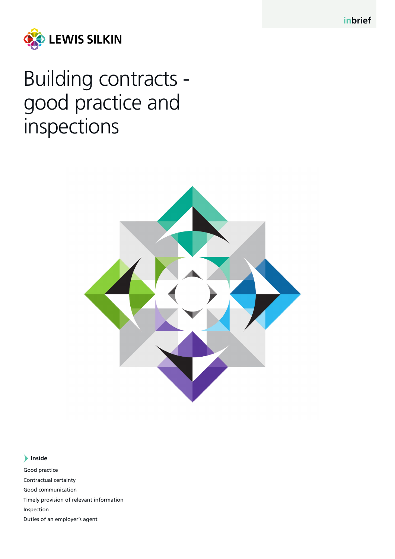**inbrief**



Building contracts good practice and inspections



## **Inside**

Good practice Contractual certainty Good communication Timely provision of relevant information Inspection Duties of an employer's agent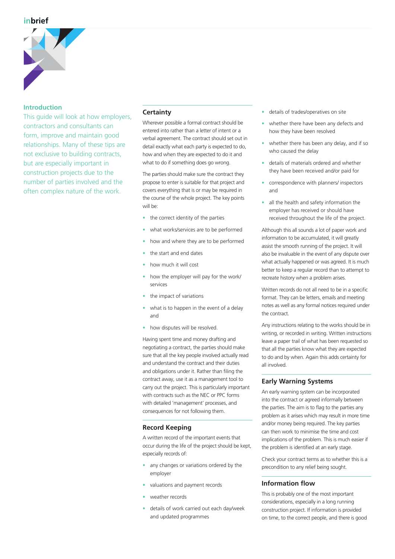

### **Introduction**

This quide will look at how employers. contractors and consultants can form, improve and maintain good relationships. Many of these tips are not exclusive to building contracts, but are especially important in construction projects due to the number of parties involved and the often complex nature of the work.

### **Certainty**

Wherever possible a formal contract should be entered into rather than a letter of intent or a verbal agreement. The contract should set out in detail exactly what each party is expected to do, how and when they are expected to do it and what to do if something does go wrong.

The parties should make sure the contract they propose to enter is suitable for that project and covers everything that is or may be required in the course of the whole project. The key points will be:

- the correct identity of the parties
- what works/services are to be performed
- how and where they are to be performed
- the start and end dates
- how much it will cost
- how the employer will pay for the work/ services
- the impact of variations
- what is to happen in the event of a delay and
- how disputes will be resolved.

Having spent time and money drafting and negotiating a contract, the parties should make sure that all the key people involved actually read and understand the contract and their duties and obligations under it. Rather than filing the contract away, use it as a management tool to carry out the project. This is particularly important with contracts such as the NEC or PPC forms with detailed 'management' processes, and consequences for not following them.

## **Record Keeping**

A written record of the important events that occur during the life of the project should be kept, especially records of:

- any changes or variations ordered by the employer
- valuations and payment records
- weather records
- details of work carried out each day/week and updated programmes
- details of trades/operatives on site
- whether there have been any defects and how they have been resolved
- whether there has been any delay, and if so who caused the delay
- details of materials ordered and whether they have been received and/or paid for
- correspondence with planners/ inspectors and
- all the health and safety information the employer has received or should have received throughout the life of the project.

Although this all sounds a lot of paper work and information to be accumulated, it will greatly assist the smooth running of the project. It will also be invaluable in the event of any dispute over what actually happened or was agreed. It is much better to keep a regular record than to attempt to recreate history when a problem arises.

Written records do not all need to be in a specific format. They can be letters, emails and meeting notes as well as any formal notices required under the contract.

Any instructions relating to the works should be in writing, or recorded in writing. Written instructions leave a paper trail of what has been requested so that all the parties know what they are expected to do and by when. Again this adds certainty for all involved.

## **Early Warning Systems**

An early warning system can be incorporated into the contract or agreed informally between the parties. The aim is to flag to the parties any problem as it arises which may result in more time and/or money being required. The key parties can then work to minimise the time and cost implications of the problem. This is much easier if the problem is identified at an early stage.

Check your contract terms as to whether this is a precondition to any relief being sought.

# **Information flow**

This is probably one of the most important considerations, especially in a long running construction project. If information is provided on time, to the correct people, and there is good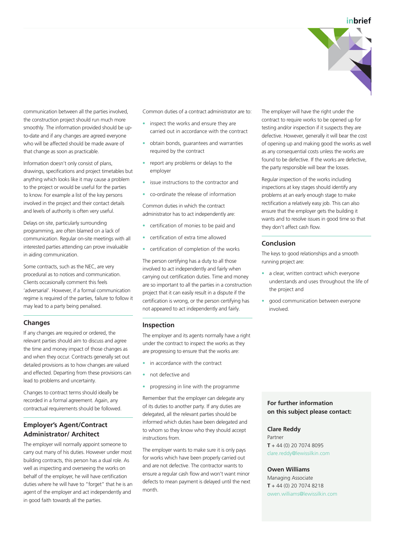

communication between all the parties involved, the construction project should run much more smoothly. The information provided should be upto-date and if any changes are agreed everyone who will be affected should be made aware of that change as soon as practicable.

Information doesn't only consist of plans, drawings, specifications and project timetables but anything which looks like it may cause a problem to the project or would be useful for the parties to know. For example a list of the key persons involved in the project and their contact details and levels of authority is often very useful.

Delays on site, particularly surrounding programming, are often blamed on a lack of communication. Regular on-site meetings with all interested parties attending can prove invaluable in aiding communication.

Some contracts, such as the NEC, are very procedural as to notices and communication. Clients occasionally comment this feels 'adversarial'. However, if a formal communication regime is required of the parties, failure to follow it may lead to a party being penalised.

### **Changes**

If any changes are required or ordered, the relevant parties should aim to discuss and agree the time and money impact of those changes as and when they occur. Contracts generally set out detailed provisions as to how changes are valued and effected. Departing from these provisions can lead to problems and uncertainty.

Changes to contract terms should ideally be recorded in a formal agreement. Again, any contractual requirements should be followed.

## **Employer's Agent/Contract Administrator/ Architect**

The employer will normally appoint someone to carry out many of his duties. However under most building contracts, this person has a dual role. As well as inspecting and overseeing the works on behalf of the employer, he will have certification duties where he will have to "forget" that he is an agent of the employer and act independently and in good faith towards all the parties.

Common duties of a contract administrator are to:

- inspect the works and ensure they are carried out in accordance with the contract
- obtain bonds, guarantees and warranties required by the contract
- report any problems or delays to the employer
- issue instructions to the contractor and
- co-ordinate the release of information

Common duties in which the contract administrator has to act independently are:

- certification of monies to be paid and
- certification of extra time allowed
- certification of completion of the works

The person certifying has a duty to all those involved to act independently and fairly when carrying out certification duties. Time and money are so important to all the parties in a construction project that it can easily result in a dispute if the certification is wrong, or the person certifying has not appeared to act independently and fairly.

### **Inspection**

The employer and its agents normally have a right under the contract to inspect the works as they are progressing to ensure that the works are:

- in accordance with the contract
- not defective and
- progressing in line with the programme

Remember that the employer can delegate any of its duties to another party. If any duties are delegated, all the relevant parties should be informed which duties have been delegated and to whom so they know who they should accept instructions from.

The employer wants to make sure it is only pays for works which have been properly carried out and are not defective. The contractor wants to ensure a regular cash flow and won't want minor defects to mean payment is delayed until the next month.

The employer will have the right under the contract to require works to be opened up for testing and/or inspection if it suspects they are defective. However, generally it will bear the cost of opening up and making good the works as well as any consequential costs unless the works are found to be defective. If the works are defective, the party responsible will bear the losses.

Regular inspection of the works including inspections at key stages should identify any problems at an early enough stage to make rectification a relatively easy job. This can also ensure that the employer gets the building it wants and to resolve issues in good time so that they don't affect cash flow.

#### **Conclusion**

The keys to good relationships and a smooth running project are:

- a clear, written contract which everyone understands and uses throughout the life of the project and
- good communication between everyone involved.

## **For further information on this subject please contact:**

#### **Clare Reddy**

Partner **T** + 44 (0) 20 7074 8095 clare.reddy@lewissilkin.com

#### **Owen Williams**

Managing Associate **T** + 44 (0) 20 7074 8218 owen.williams@lewissilkin.com